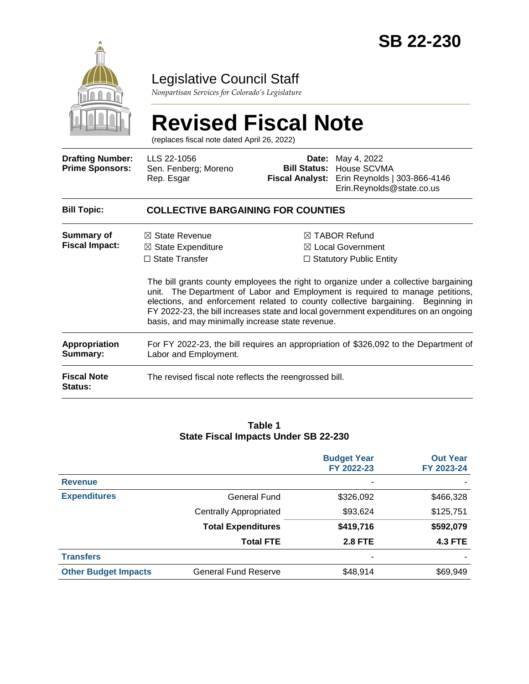

# Legislative Council Staff

*Nonpartisan Services for Colorado's Legislature*

# **Revised Fiscal Note**

(replaces fiscal note dated April 26, 2022)

| <b>Drafting Number:</b><br><b>Prime Sponsors:</b> | LLS 22-1056<br>Sen. Fenberg; Moreno<br>Rep. Esgar                                                                                       | <b>Fiscal Analyst:</b>                                                                                                                                                                                                                                                                                                                                                                                                                          | <b>Date:</b> May 4, 2022<br><b>Bill Status: House SCVMA</b><br>Erin Reynolds   303-866-4146<br>Erin.Reynolds@state.co.us |  |  |
|---------------------------------------------------|-----------------------------------------------------------------------------------------------------------------------------------------|-------------------------------------------------------------------------------------------------------------------------------------------------------------------------------------------------------------------------------------------------------------------------------------------------------------------------------------------------------------------------------------------------------------------------------------------------|--------------------------------------------------------------------------------------------------------------------------|--|--|
| <b>Bill Topic:</b>                                | <b>COLLECTIVE BARGAINING FOR COUNTIES</b>                                                                                               |                                                                                                                                                                                                                                                                                                                                                                                                                                                 |                                                                                                                          |  |  |
| Summary of<br><b>Fiscal Impact:</b>               | $\boxtimes$ State Revenue<br>$\boxtimes$ State Expenditure<br>$\Box$ State Transfer<br>basis, and may minimally increase state revenue. | $\boxtimes$ TABOR Refund<br>$\boxtimes$ Local Government<br>$\Box$ Statutory Public Entity<br>The bill grants county employees the right to organize under a collective bargaining<br>unit. The Department of Labor and Employment is required to manage petitions,<br>elections, and enforcement related to county collective bargaining. Beginning in<br>FY 2022-23, the bill increases state and local government expenditures on an ongoing |                                                                                                                          |  |  |
| <b>Appropriation</b><br>Summary:                  | For FY 2022-23, the bill requires an appropriation of \$326,092 to the Department of<br>Labor and Employment.                           |                                                                                                                                                                                                                                                                                                                                                                                                                                                 |                                                                                                                          |  |  |
| <b>Fiscal Note</b><br><b>Status:</b>              | The revised fiscal note reflects the reengrossed bill.                                                                                  |                                                                                                                                                                                                                                                                                                                                                                                                                                                 |                                                                                                                          |  |  |

#### **Table 1 State Fiscal Impacts Under SB 22-230**

|                             |                               | <b>Budget Year</b><br>FY 2022-23 | <b>Out Year</b><br>FY 2023-24 |
|-----------------------------|-------------------------------|----------------------------------|-------------------------------|
| <b>Revenue</b>              |                               |                                  |                               |
| <b>Expenditures</b>         | <b>General Fund</b>           | \$326,092                        | \$466,328                     |
|                             | <b>Centrally Appropriated</b> | \$93,624                         | \$125,751                     |
|                             | <b>Total Expenditures</b>     | \$419,716                        | \$592,079                     |
|                             | <b>Total FTE</b>              | <b>2.8 FTE</b>                   | <b>4.3 FTE</b>                |
| <b>Transfers</b>            |                               | -                                |                               |
| <b>Other Budget Impacts</b> | <b>General Fund Reserve</b>   | \$48,914                         | \$69,949                      |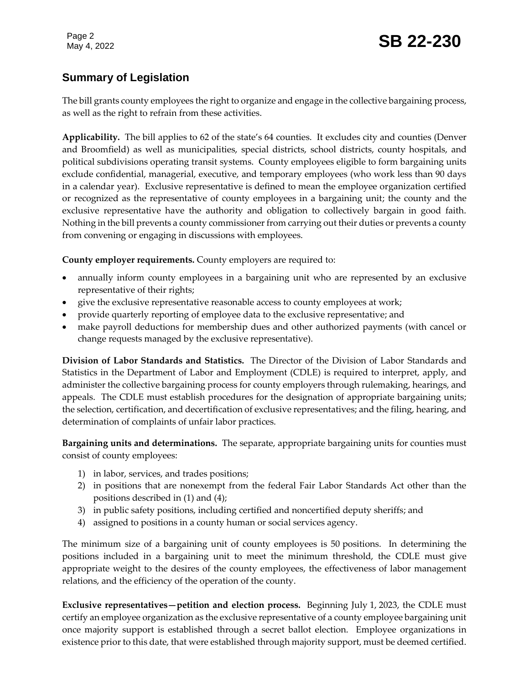### **Summary of Legislation**

The bill grants county employees the right to organize and engage in the collective bargaining process, as well as the right to refrain from these activities.

**Applicability.** The bill applies to 62 of the state's 64 counties. It excludes city and counties (Denver and Broomfield) as well as municipalities, special districts, school districts, county hospitals, and political subdivisions operating transit systems. County employees eligible to form bargaining units exclude confidential, managerial, executive, and temporary employees (who work less than 90 days in a calendar year). Exclusive representative is defined to mean the employee organization certified or recognized as the representative of county employees in a bargaining unit; the county and the exclusive representative have the authority and obligation to collectively bargain in good faith. Nothing in the bill prevents a county commissioner from carrying out their duties or prevents a county from convening or engaging in discussions with employees.

**County employer requirements.** County employers are required to:

- annually inform county employees in a bargaining unit who are represented by an exclusive representative of their rights;
- give the exclusive representative reasonable access to county employees at work;
- provide quarterly reporting of employee data to the exclusive representative; and
- make payroll deductions for membership dues and other authorized payments (with cancel or change requests managed by the exclusive representative).

**Division of Labor Standards and Statistics.** The Director of the Division of Labor Standards and Statistics in the Department of Labor and Employment (CDLE) is required to interpret, apply, and administer the collective bargaining process for county employers through rulemaking, hearings, and appeals. The CDLE must establish procedures for the designation of appropriate bargaining units; the selection, certification, and decertification of exclusive representatives; and the filing, hearing, and determination of complaints of unfair labor practices.

**Bargaining units and determinations.** The separate, appropriate bargaining units for counties must consist of county employees:

- 1) in labor, services, and trades positions;
- 2) in positions that are nonexempt from the federal Fair Labor Standards Act other than the positions described in (1) and (4);
- 3) in public safety positions, including certified and noncertified deputy sheriffs; and
- 4) assigned to positions in a county human or social services agency.

The minimum size of a bargaining unit of county employees is 50 positions. In determining the positions included in a bargaining unit to meet the minimum threshold, the CDLE must give appropriate weight to the desires of the county employees, the effectiveness of labor management relations, and the efficiency of the operation of the county.

**Exclusive representatives—petition and election process.** Beginning July 1, 2023, the CDLE must certify an employee organization as the exclusive representative of a county employee bargaining unit once majority support is established through a secret ballot election. Employee organizations in existence prior to this date, that were established through majority support, must be deemed certified.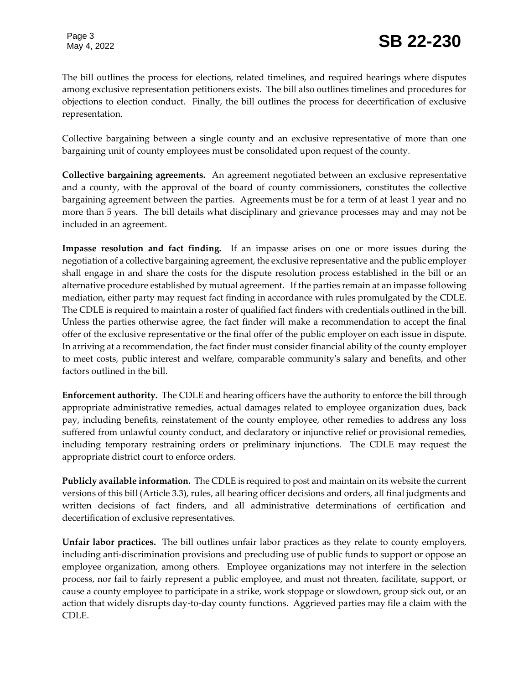The bill outlines the process for elections, related timelines, and required hearings where disputes among exclusive representation petitioners exists. The bill also outlines timelines and procedures for objections to election conduct. Finally, the bill outlines the process for decertification of exclusive representation.

Collective bargaining between a single county and an exclusive representative of more than one bargaining unit of county employees must be consolidated upon request of the county.

**Collective bargaining agreements.** An agreement negotiated between an exclusive representative and a county, with the approval of the board of county commissioners, constitutes the collective bargaining agreement between the parties. Agreements must be for a term of at least 1 year and no more than 5 years. The bill details what disciplinary and grievance processes may and may not be included in an agreement.

**Impasse resolution and fact finding.** If an impasse arises on one or more issues during the negotiation of a collective bargaining agreement, the exclusive representative and the public employer shall engage in and share the costs for the dispute resolution process established in the bill or an alternative procedure established by mutual agreement. If the parties remain at an impasse following mediation, either party may request fact finding in accordance with rules promulgated by the CDLE. The CDLE is required to maintain a roster of qualified fact finders with credentials outlined in the bill. Unless the parties otherwise agree, the fact finder will make a recommendation to accept the final offer of the exclusive representative or the final offer of the public employer on each issue in dispute. In arriving at a recommendation, the fact finder must consider financial ability of the county employer to meet costs, public interest and welfare, comparable community's salary and benefits, and other factors outlined in the bill.

**Enforcement authority.** The CDLE and hearing officers have the authority to enforce the bill through appropriate administrative remedies, actual damages related to employee organization dues, back pay, including benefits, reinstatement of the county employee, other remedies to address any loss suffered from unlawful county conduct, and declaratory or injunctive relief or provisional remedies, including temporary restraining orders or preliminary injunctions. The CDLE may request the appropriate district court to enforce orders.

**Publicly available information.** The CDLE is required to post and maintain on its website the current versions of this bill (Article 3.3), rules, all hearing officer decisions and orders, all final judgments and written decisions of fact finders, and all administrative determinations of certification and decertification of exclusive representatives.

**Unfair labor practices.** The bill outlines unfair labor practices as they relate to county employers, including anti-discrimination provisions and precluding use of public funds to support or oppose an employee organization, among others. Employee organizations may not interfere in the selection process, nor fail to fairly represent a public employee, and must not threaten, facilitate, support, or cause a county employee to participate in a strike, work stoppage or slowdown, group sick out, or an action that widely disrupts day-to-day county functions. Aggrieved parties may file a claim with the CDLE.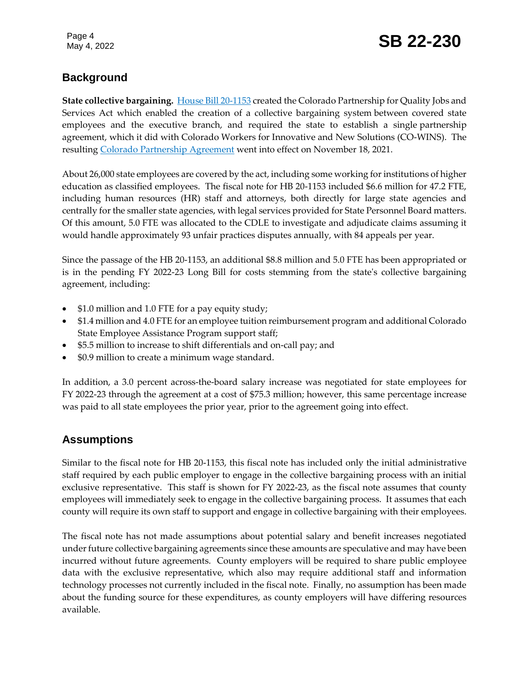# Page 4<br>May 4, 2022 **SB 22-230**

## **Background**

**State collective bargaining.** [House Bill 20-1153](https://leg.colorado.gov/bills/hb20-1153) created the Colorado Partnership for Quality Jobs and Services Act which enabled the creation of a collective bargaining system between covered state employees and the executive branch, and required the state to establish a single partnership agreement, which it did with Colorado Workers for Innovative and New Solutions (CO-WINS). The resulting [Colorado Partnership Agreement](https://drive.google.com/file/d/1250Sqhff0LS6gWL_qyY0z0iZfnhFxB1D/view) went into effect on November 18, 2021.

About 26,000 state employees are covered by the act, including some working for institutions of higher education as classified employees. The fiscal note for HB 20-1153 included \$6.6 million for 47.2 FTE, including human resources (HR) staff and attorneys, both directly for large state agencies and centrally for the smaller state agencies, with legal services provided for State Personnel Board matters. Of this amount, 5.0 FTE was allocated to the CDLE to investigate and adjudicate claims assuming it would handle approximately 93 unfair practices disputes annually, with 84 appeals per year.

Since the passage of the HB 20-1153, an additional \$8.8 million and 5.0 FTE has been appropriated or is in the pending FY 2022-23 Long Bill for costs stemming from the state's collective bargaining agreement, including:

- \$1.0 million and 1.0 FTE for a pay equity study;
- \$1.4 million and 4.0 FTE for an employee tuition reimbursement program and additional Colorado State Employee Assistance Program support staff;
- \$5.5 million to increase to shift differentials and on-call pay; and
- \$0.9 million to create a minimum wage standard.

In addition, a 3.0 percent across-the-board salary increase was negotiated for state employees for FY 2022-23 through the agreement at a cost of \$75.3 million; however, this same percentage increase was paid to all state employees the prior year, prior to the agreement going into effect.

#### **Assumptions**

Similar to the fiscal note for HB 20-1153, this fiscal note has included only the initial administrative staff required by each public employer to engage in the collective bargaining process with an initial exclusive representative. This staff is shown for FY 2022-23, as the fiscal note assumes that county employees will immediately seek to engage in the collective bargaining process. It assumes that each county will require its own staff to support and engage in collective bargaining with their employees.

The fiscal note has not made assumptions about potential salary and benefit increases negotiated under future collective bargaining agreements since these amounts are speculative and may have been incurred without future agreements. County employers will be required to share public employee data with the exclusive representative, which also may require additional staff and information technology processes not currently included in the fiscal note. Finally, no assumption has been made about the funding source for these expenditures, as county employers will have differing resources available.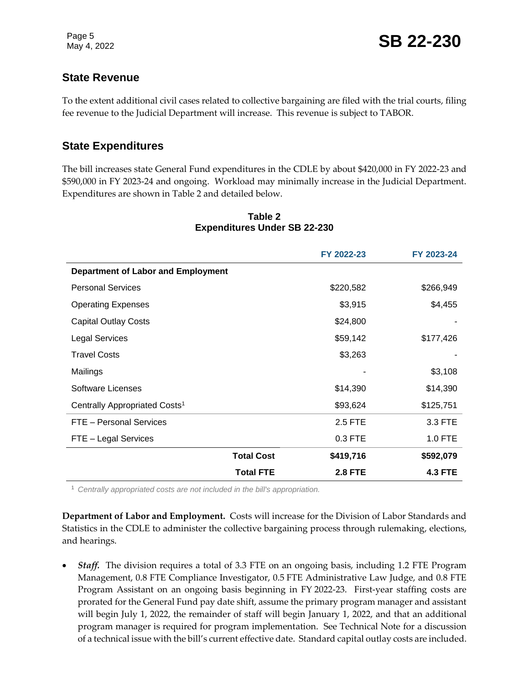#### **State Revenue**

To the extent additional civil cases related to collective bargaining are filed with the trial courts, filing fee revenue to the Judicial Department will increase. This revenue is subject to TABOR.

#### **State Expenditures**

The bill increases state General Fund expenditures in the CDLE by about \$420,000 in FY 2022-23 and \$590,000 in FY 2023-24 and ongoing. Workload may minimally increase in the Judicial Department. Expenditures are shown in Table 2 and detailed below.

|                                           | FY 2022-23     | FY 2023-24     |  |
|-------------------------------------------|----------------|----------------|--|
| <b>Department of Labor and Employment</b> |                |                |  |
| <b>Personal Services</b>                  | \$220,582      | \$266,949      |  |
| <b>Operating Expenses</b>                 | \$3,915        | \$4,455        |  |
| <b>Capital Outlay Costs</b>               | \$24,800       |                |  |
| <b>Legal Services</b>                     | \$59,142       | \$177,426      |  |
| <b>Travel Costs</b>                       | \$3,263        |                |  |
| Mailings                                  |                | \$3,108        |  |
| Software Licenses                         | \$14,390       | \$14,390       |  |
| Centrally Appropriated Costs <sup>1</sup> | \$93,624       | \$125,751      |  |
| FTE - Personal Services                   | 2.5 FTE        | 3.3 FTE        |  |
| FTE - Legal Services                      | 0.3 FTE        | 1.0 FTE        |  |
| <b>Total Cost</b>                         | \$419,716      | \$592,079      |  |
| <b>Total FTE</b>                          | <b>2.8 FTE</b> | <b>4.3 FTE</b> |  |

#### **Table 2 Expenditures Under SB 22-230**

<sup>1</sup> *Centrally appropriated costs are not included in the bill's appropriation.*

**Department of Labor and Employment.** Costs will increase for the Division of Labor Standards and Statistics in the CDLE to administer the collective bargaining process through rulemaking, elections, and hearings.

 *Staff.*The division requires a total of 3.3 FTE on an ongoing basis, including 1.2 FTE Program Management, 0.8 FTE Compliance Investigator, 0.5 FTE Administrative Law Judge, and 0.8 FTE Program Assistant on an ongoing basis beginning in FY 2022-23. First-year staffing costs are prorated for the General Fund pay date shift, assume the primary program manager and assistant will begin July 1, 2022, the remainder of staff will begin January 1, 2022, and that an additional program manager is required for program implementation. See Technical Note for a discussion of a technical issue with the bill's current effective date. Standard capital outlay costs are included.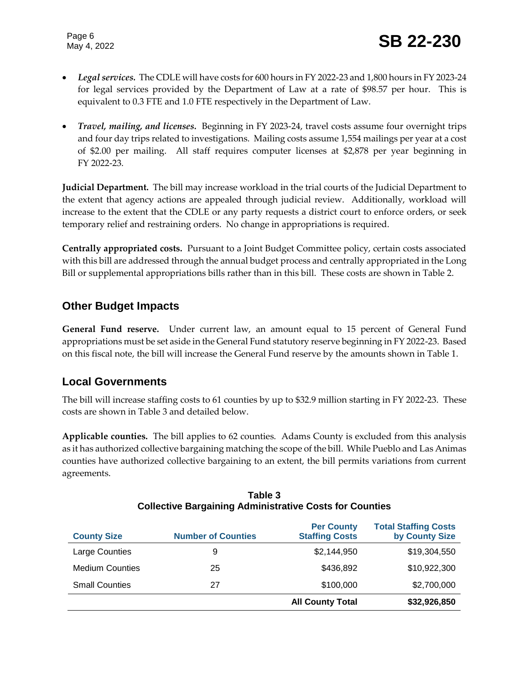- *Legal services.*The CDLE will have costs for 600 hours in FY 2022-23 and 1,800 hours in FY 2023-24 for legal services provided by the Department of Law at a rate of \$98.57 per hour. This is equivalent to 0.3 FTE and 1.0 FTE respectively in the Department of Law.
- *Travel, mailing, and licenses.* Beginning in FY 2023-24, travel costs assume four overnight trips and four day trips related to investigations. Mailing costs assume 1,554 mailings per year at a cost of \$2.00 per mailing. All staff requires computer licenses at \$2,878 per year beginning in FY 2022-23.

**Judicial Department.** The bill may increase workload in the trial courts of the Judicial Department to the extent that agency actions are appealed through judicial review. Additionally, workload will increase to the extent that the CDLE or any party requests a district court to enforce orders, or seek temporary relief and restraining orders. No change in appropriations is required.

**Centrally appropriated costs.** Pursuant to a Joint Budget Committee policy, certain costs associated with this bill are addressed through the annual budget process and centrally appropriated in the Long Bill or supplemental appropriations bills rather than in this bill. These costs are shown in Table 2.

#### **Other Budget Impacts**

**General Fund reserve.** Under current law, an amount equal to 15 percent of General Fund appropriations must be set aside in the General Fund statutory reserve beginning in FY 2022-23. Based on this fiscal note, the bill will increase the General Fund reserve by the amounts shown in Table 1.

#### **Local Governments**

The bill will increase staffing costs to 61 counties by up to \$32.9 million starting in FY 2022-23. These costs are shown in Table 3 and detailed below.

**Applicable counties.** The bill applies to 62 counties. Adams County is excluded from this analysis as it has authorized collective bargaining matching the scope of the bill. While Pueblo and Las Animas counties have authorized collective bargaining to an extent, the bill permits variations from current agreements.

| <b>County Size</b>     | <b>Number of Counties</b> | <b>Per County</b><br><b>Staffing Costs</b> | <b>Total Staffing Costs</b><br>by County Size |
|------------------------|---------------------------|--------------------------------------------|-----------------------------------------------|
| Large Counties         | 9                         | \$2,144,950                                | \$19,304,550                                  |
| <b>Medium Counties</b> | 25                        | \$436,892                                  | \$10,922,300                                  |
| <b>Small Counties</b>  | 27                        | \$100,000                                  | \$2,700,000                                   |
|                        |                           | <b>All County Total</b>                    | \$32,926,850                                  |

#### **Table 3 Collective Bargaining Administrative Costs for Counties**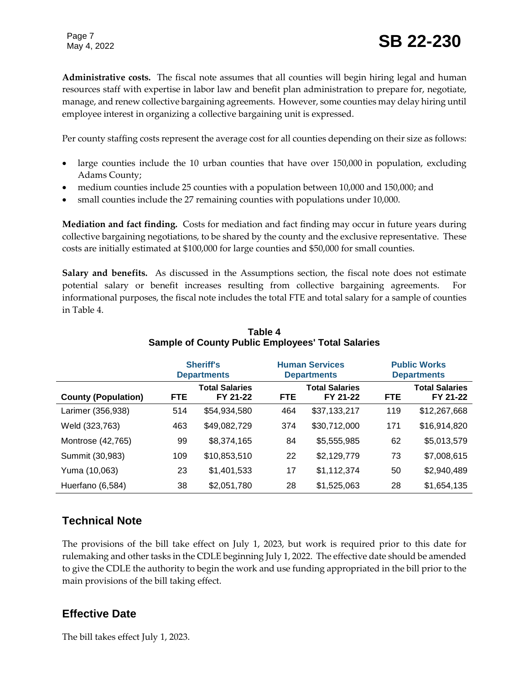# Page 7<br>May 4, 2022 **SB 22-230**

**Administrative costs.** The fiscal note assumes that all counties will begin hiring legal and human resources staff with expertise in labor law and benefit plan administration to prepare for, negotiate, manage, and renew collective bargaining agreements. However, some counties may delay hiring until employee interest in organizing a collective bargaining unit is expressed.

Per county staffing costs represent the average cost for all counties depending on their size as follows:

- large counties include the 10 urban counties that have over 150,000 in population, excluding Adams County;
- medium counties include 25 counties with a population between 10,000 and 150,000; and
- small counties include the 27 remaining counties with populations under 10,000.

**Mediation and fact finding.** Costs for mediation and fact finding may occur in future years during collective bargaining negotiations, to be shared by the county and the exclusive representative. These costs are initially estimated at \$100,000 for large counties and \$50,000 for small counties.

**Salary and benefits.** As discussed in the Assumptions section, the fiscal note does not estimate potential salary or benefit increases resulting from collective bargaining agreements. informational purposes, the fiscal note includes the total FTE and total salary for a sample of counties in Table 4.

|                            |            | <b>Human Services</b><br><b>Sheriff's</b><br><b>Departments</b><br><b>Departments</b> |            | <b>Public Works</b><br><b>Departments</b> |            |                                   |
|----------------------------|------------|---------------------------------------------------------------------------------------|------------|-------------------------------------------|------------|-----------------------------------|
| <b>County (Population)</b> | <b>FTE</b> | <b>Total Salaries</b><br>FY 21-22                                                     | <b>FTE</b> | <b>Total Salaries</b><br>FY 21-22         | <b>FTE</b> | <b>Total Salaries</b><br>FY 21-22 |
| Larimer (356,938)          | 514        | \$54,934,580                                                                          | 464        | \$37,133,217                              | 119        | \$12,267,668                      |
| Weld (323,763)             | 463        | \$49,082,729                                                                          | 374        | \$30,712,000                              | 171        | \$16,914,820                      |
| Montrose (42,765)          | 99         | \$8,374,165                                                                           | 84         | \$5,555,985                               | 62         | \$5,013,579                       |
| Summit (30,983)            | 109        | \$10,853,510                                                                          | 22         | \$2,129,779                               | 73         | \$7,008,615                       |
| Yuma (10,063)              | 23         | \$1,401,533                                                                           | 17         | \$1,112,374                               | 50         | \$2,940,489                       |
| Huerfano (6,584)           | 38         | \$2,051,780                                                                           | 28         | \$1,525,063                               | 28         | \$1,654,135                       |

#### **Table 4 Sample of County Public Employees' Total Salaries**

#### **Technical Note**

The provisions of the bill take effect on July 1, 2023, but work is required prior to this date for rulemaking and other tasks in the CDLE beginning July 1, 2022. The effective date should be amended to give the CDLE the authority to begin the work and use funding appropriated in the bill prior to the main provisions of the bill taking effect.

#### **Effective Date**

The bill takes effect July 1, 2023.